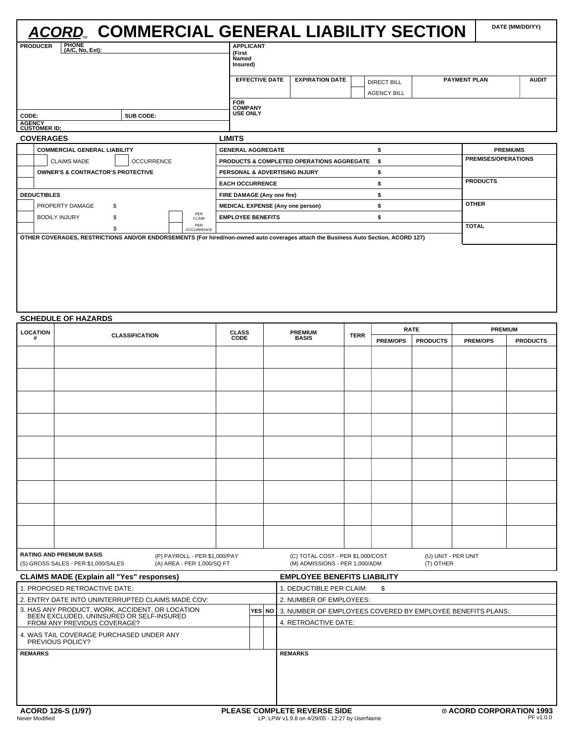|               | <b>ACORD. COMMERCIAL GENERAL LIABILITY SECTION</b>                                                                                 |                   |                          |                                                        |                                     |                                   |                     | DATE (MM/DD/YY)            |              |
|---------------|------------------------------------------------------------------------------------------------------------------------------------|-------------------|--------------------------|--------------------------------------------------------|-------------------------------------|-----------------------------------|---------------------|----------------------------|--------------|
|               | PHONE<br>(A/C, No, Ext):<br><b>PRODUCER</b>                                                                                        |                   |                          | <b>APPLICANT</b><br>(First<br><b>Named</b><br>Insured) |                                     |                                   |                     |                            |              |
|               |                                                                                                                                    |                   |                          | <b>EFFECTIVE DATE</b>                                  | <b>EXPIRATION DATE</b>              | DIRECT BILL<br><b>AGENCY BILL</b> | <b>PAYMENT PLAN</b> |                            | <b>AUDIT</b> |
| CODE:         |                                                                                                                                    | <b>SUB CODE:</b>  |                          | <b>FOR</b><br><b>COMPANY</b><br><b>USE ONLY</b>        |                                     |                                   |                     |                            |              |
| <b>AGENCY</b> | <b>CUSTOMER ID:</b><br><b>COVERAGES</b>                                                                                            |                   |                          | <b>LIMITS</b>                                          |                                     |                                   |                     |                            |              |
|               | <b>COMMERCIAL GENERAL LIABILITY</b>                                                                                                |                   |                          | <b>GENERAL AGGREGATE</b>                               |                                     | \$                                |                     | <b>PREMIUMS</b>            |              |
|               | <b>CLAIMS MADE</b>                                                                                                                 | <b>OCCURRENCE</b> |                          | PRODUCTS & COMPLETED OPERATIONS AGGREGATE              |                                     | \$                                |                     | <b>PREMISES/OPERATIONS</b> |              |
|               | <b>OWNER'S &amp; CONTRACTOR'S PROTECTIVE</b>                                                                                       |                   |                          |                                                        | PERSONAL & ADVERTISING INJURY<br>\$ |                                   |                     |                            |              |
|               |                                                                                                                                    |                   |                          | <b>EACH OCCURRENCE</b>                                 |                                     | \$                                |                     | <b>PRODUCTS</b>            |              |
|               | <b>DEDUCTIBLES</b>                                                                                                                 |                   |                          | FIRE DAMAGE (Any one fire)                             |                                     | \$                                |                     |                            |              |
|               | PROPERTY DAMAGE                                                                                                                    | \$                |                          | <b>MEDICAL EXPENSE (Any one person)</b>                |                                     | \$                                | <b>OTHER</b>        |                            |              |
|               | <b>BODILY INJURY</b>                                                                                                               |                   | PER<br>CLAIM             | <b>EMPLOYEE BENEFITS</b>                               |                                     | \$                                |                     |                            |              |
|               |                                                                                                                                    |                   | PER<br><b>OCCURRENCE</b> |                                                        |                                     |                                   | <b>TOTAL</b>        |                            |              |
|               | OTHER COVERAGES, RESTRICTIONS AND/OR ENDORSEMENTS (For hired/non-owned auto coverages attach the Business Auto Section, ACORD 127) |                   |                          |                                                        |                                     |                                   |                     |                            |              |

## **SCHEDULE OF HAZARDS**

| <b>LOCATION</b>            |                                                                                             | <b>CLASS</b>                                                |             | <b>PREMIUM</b>                                                                       |                                                                     |             | <b>RATE</b>     | <b>PREMIUM</b>                   |                 |                 |  |  |
|----------------------------|---------------------------------------------------------------------------------------------|-------------------------------------------------------------|-------------|--------------------------------------------------------------------------------------|---------------------------------------------------------------------|-------------|-----------------|----------------------------------|-----------------|-----------------|--|--|
| <b>CLASSIFICATION</b><br># |                                                                                             |                                                             | <b>CODE</b> |                                                                                      | <b>BASIS</b>                                                        | <b>TERR</b> | <b>PREM/OPS</b> | <b>PRODUCTS</b>                  | <b>PREM/OPS</b> | <b>PRODUCTS</b> |  |  |
|                            |                                                                                             |                                                             |             |                                                                                      |                                                                     |             |                 |                                  |                 |                 |  |  |
|                            |                                                                                             |                                                             |             |                                                                                      |                                                                     |             |                 |                                  |                 |                 |  |  |
|                            |                                                                                             |                                                             |             |                                                                                      |                                                                     |             |                 |                                  |                 |                 |  |  |
|                            |                                                                                             |                                                             |             |                                                                                      |                                                                     |             |                 |                                  |                 |                 |  |  |
|                            |                                                                                             |                                                             |             |                                                                                      |                                                                     |             |                 |                                  |                 |                 |  |  |
|                            |                                                                                             |                                                             |             |                                                                                      |                                                                     |             |                 |                                  |                 |                 |  |  |
|                            |                                                                                             |                                                             |             |                                                                                      |                                                                     |             |                 |                                  |                 |                 |  |  |
|                            |                                                                                             |                                                             |             |                                                                                      |                                                                     |             |                 |                                  |                 |                 |  |  |
|                            |                                                                                             |                                                             |             |                                                                                      |                                                                     |             |                 |                                  |                 |                 |  |  |
|                            |                                                                                             |                                                             |             |                                                                                      |                                                                     |             |                 |                                  |                 |                 |  |  |
|                            |                                                                                             |                                                             |             |                                                                                      |                                                                     |             |                 |                                  |                 |                 |  |  |
|                            | <b>RATING AND PREMIUM BASIS</b><br>(S) GROSS SALES - PER \$1,000/SALES                      | (P) PAYROLL - PER \$1,000/PAY<br>(A) AREA - PER 1,000/SQ FT |             |                                                                                      | (C) TOTAL COST - PER \$1,000/COST<br>(M) ADMISSIONS - PER 1,000/ADM |             |                 | (U) UNIT - PER UNIT<br>(T) OTHER |                 |                 |  |  |
|                            | <b>CLAIMS MADE (Explain all "Yes" responses)</b>                                            |                                                             |             | <b>EMPLOYEE BENEFITS LIABILITY</b>                                                   |                                                                     |             |                 |                                  |                 |                 |  |  |
|                            | 1. PROPOSED RETROACTIVE DATE:                                                               |                                                             |             |                                                                                      | 1. DEDUCTIBLE PER CLAIM:<br>\$                                      |             |                 |                                  |                 |                 |  |  |
|                            | 2. ENTRY DATE INTO UNINTERRUPTED CLAIMS MADE COV:                                           |                                                             |             |                                                                                      | 2. NUMBER OF EMPLOYEES:                                             |             |                 |                                  |                 |                 |  |  |
|                            | 3. HAS ANY PRODUCT, WORK, ACCIDENT, OR LOCATION<br>BEEN EXCLUDED, UNINSURED OR SELF-INSURED |                                                             |             | YES NO                                                                               | 3. NUMBER OF EMPLOYEES COVERED BY EMPLOYEE BENEFITS PLANS:          |             |                 |                                  |                 |                 |  |  |
|                            | FROM ANY PREVIOUS COVERAGE?                                                                 |                                                             |             |                                                                                      | 4. RETROACTIVE DATE:                                                |             |                 |                                  |                 |                 |  |  |
|                            | 4. WAS TAIL COVERAGE PURCHASED UNDER ANY<br>PREVIOUS POLICY?                                |                                                             |             |                                                                                      |                                                                     |             |                 |                                  |                 |                 |  |  |
| <b>REMARKS</b>             |                                                                                             |                                                             |             |                                                                                      | <b>REMARKS</b>                                                      |             |                 |                                  |                 |                 |  |  |
|                            |                                                                                             |                                                             |             |                                                                                      |                                                                     |             |                 |                                  |                 |                 |  |  |
|                            |                                                                                             |                                                             |             |                                                                                      |                                                                     |             |                 |                                  |                 |                 |  |  |
| Never Modified             | ACORD 126-S (1/97)                                                                          |                                                             |             | <b>PLEASE COMPLETE REVERSE SIDE</b><br>LP: LPW v1.9.8 on 4/29/05 - 12:27 by UserName |                                                                     |             |                 | © ACORD CORPORATION 1993         | PF v1.0.0       |                 |  |  |